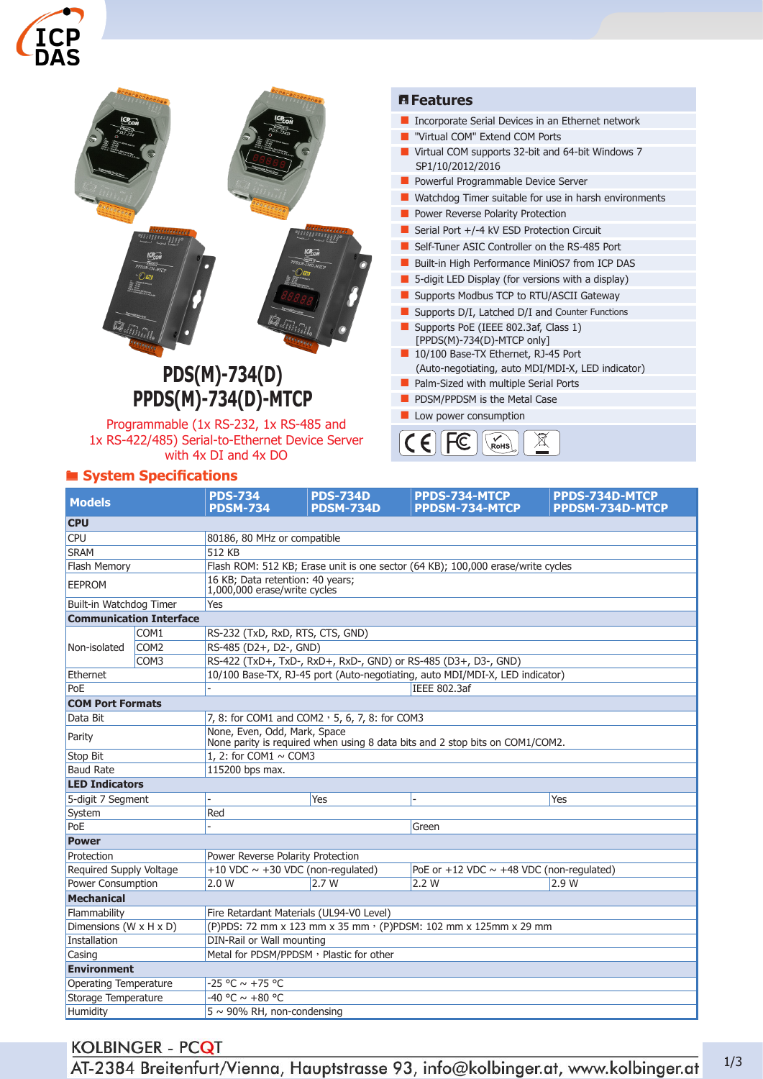



**PDS(M)-734(D) PPDS(M)-734(D)-MTCP**

Programmable (1x RS-232, 1x RS-485 and 1x RS-422/485) Serial-to-Ethernet Device Server with 4x DI and 4x DO

# ® **System Specifications**

#### ¯**Features**

- **Incorporate Serial Devices in an Ethernet network**
- **U** "Virtual COM" Extend COM Ports
- **U** Virtual COM supports 32-bit and 64-bit Windows 7 SP1/10/2012/2016
- **Powerful Programmable Device Server**
- **Watchdog Timer suitable for use in harsh environments**
- **Power Reverse Polarity Protection**
- Serial Port  $+/-4$  kV ESD Protection Circuit
- Self-Tuner ASIC Controller on the RS-485 Port
- Built-in High Performance MiniOS7 from ICP DAS
- **5-digit LED Display (for versions with a display)**
- **Supports Modbus TCP to RTU/ASCII Gateway**
- Supports D/I, Latched D/I and Counter Functions
- Supports PoE (IEEE 802.3af, Class 1) [PPDS(M)-734(D)-MTCP only]
- 10/100 Base-TX Ethernet, RJ-45 Port
- (Auto-negotiating, auto MDI/MDI-X, LED indicator) **Palm-Sized with multiple Serial Ports**
- **PDSM/PPDSM is the Metal Case**
- **L** Low power consumption



| <b>Models</b>                |                                | <b>PDS-734</b><br><b>PDSM-734</b>                                                                            | <b>PDS-734D</b><br><b>PDSM-734D</b> | PPDS-734-MTCP<br>PPDSM-734-MTCP                                              | PPDS-734D-MTCP<br>PPDSM-734D-MTCP |  |  |
|------------------------------|--------------------------------|--------------------------------------------------------------------------------------------------------------|-------------------------------------|------------------------------------------------------------------------------|-----------------------------------|--|--|
| <b>CPU</b>                   |                                |                                                                                                              |                                     |                                                                              |                                   |  |  |
| <b>CPU</b>                   |                                | 80186, 80 MHz or compatible                                                                                  |                                     |                                                                              |                                   |  |  |
| <b>SRAM</b>                  |                                | 512 KB                                                                                                       |                                     |                                                                              |                                   |  |  |
| Flash Memory                 |                                | Flash ROM: 512 KB; Erase unit is one sector (64 KB); 100,000 erase/write cycles                              |                                     |                                                                              |                                   |  |  |
| <b>EEPROM</b>                |                                | 16 KB; Data retention: 40 years;<br>1,000,000 erase/write cycles                                             |                                     |                                                                              |                                   |  |  |
| Built-in Watchdog Timer      |                                | Yes                                                                                                          |                                     |                                                                              |                                   |  |  |
|                              | <b>Communication Interface</b> |                                                                                                              |                                     |                                                                              |                                   |  |  |
|                              | COM1                           | RS-232 (TxD, RxD, RTS, CTS, GND)                                                                             |                                     |                                                                              |                                   |  |  |
| Non-isolated                 | COM <sub>2</sub>               | RS-485 (D2+, D2-, GND)                                                                                       |                                     |                                                                              |                                   |  |  |
|                              | COM <sub>3</sub>               | RS-422 (TxD+, TxD-, RxD+, RxD-, GND) or RS-485 (D3+, D3-, GND)                                               |                                     |                                                                              |                                   |  |  |
| Ethernet                     |                                |                                                                                                              |                                     | 10/100 Base-TX, RJ-45 port (Auto-negotiating, auto MDI/MDI-X, LED indicator) |                                   |  |  |
| PoE                          |                                |                                                                                                              |                                     | <b>IEEE 802.3af</b>                                                          |                                   |  |  |
| <b>COM Port Formats</b>      |                                |                                                                                                              |                                     |                                                                              |                                   |  |  |
| Data Bit                     |                                | 7, 8: for COM1 and COM2, 5, 6, 7, 8: for COM3                                                                |                                     |                                                                              |                                   |  |  |
| Parity                       |                                | None, Even, Odd, Mark, Space<br>None parity is required when using 8 data bits and 2 stop bits on COM1/COM2. |                                     |                                                                              |                                   |  |  |
| <b>Stop Bit</b>              |                                | 1, 2: for COM1 $\sim$ COM3                                                                                   |                                     |                                                                              |                                   |  |  |
| <b>Baud Rate</b>             |                                | 115200 bps max.                                                                                              |                                     |                                                                              |                                   |  |  |
| <b>LED Indicators</b>        |                                |                                                                                                              |                                     |                                                                              |                                   |  |  |
| 5-digit 7 Segment            |                                |                                                                                                              | Yes                                 |                                                                              | Yes                               |  |  |
| System                       |                                | Red                                                                                                          |                                     |                                                                              |                                   |  |  |
| PoE                          |                                |                                                                                                              |                                     | Green                                                                        |                                   |  |  |
| <b>Power</b>                 |                                |                                                                                                              |                                     |                                                                              |                                   |  |  |
| Protection                   |                                | Power Reverse Polarity Protection                                                                            |                                     |                                                                              |                                   |  |  |
| Required Supply Voltage      |                                | +10 VDC $\sim$ +30 VDC (non-regulated)                                                                       |                                     | PoE or +12 VDC $\sim$ +48 VDC (non-regulated)                                |                                   |  |  |
| Power Consumption            |                                | 2.0 W                                                                                                        | 2.7W                                | 2.2 W                                                                        | 2.9W                              |  |  |
| <b>Mechanical</b>            |                                |                                                                                                              |                                     |                                                                              |                                   |  |  |
| Flammability                 |                                | Fire Retardant Materials (UL94-V0 Level)                                                                     |                                     |                                                                              |                                   |  |  |
| Dimensions (W x H x D)       |                                | (P)PDS: 72 mm x 123 mm x 35 mm · (P)PDSM: 102 mm x 125mm x 29 mm                                             |                                     |                                                                              |                                   |  |  |
| Installation                 |                                | DIN-Rail or Wall mounting                                                                                    |                                     |                                                                              |                                   |  |  |
| Casing                       |                                | Metal for PDSM/PPDSM, Plastic for other                                                                      |                                     |                                                                              |                                   |  |  |
| <b>Environment</b>           |                                |                                                                                                              |                                     |                                                                              |                                   |  |  |
| <b>Operating Temperature</b> |                                | $-25 °C \sim +75 °C$                                                                                         |                                     |                                                                              |                                   |  |  |
| Storage Temperature          |                                | $-40 °C \sim +80 °C$                                                                                         |                                     |                                                                              |                                   |  |  |
| <b>Humidity</b>              |                                | $5 \sim 90\%$ RH, non-condensing                                                                             |                                     |                                                                              |                                   |  |  |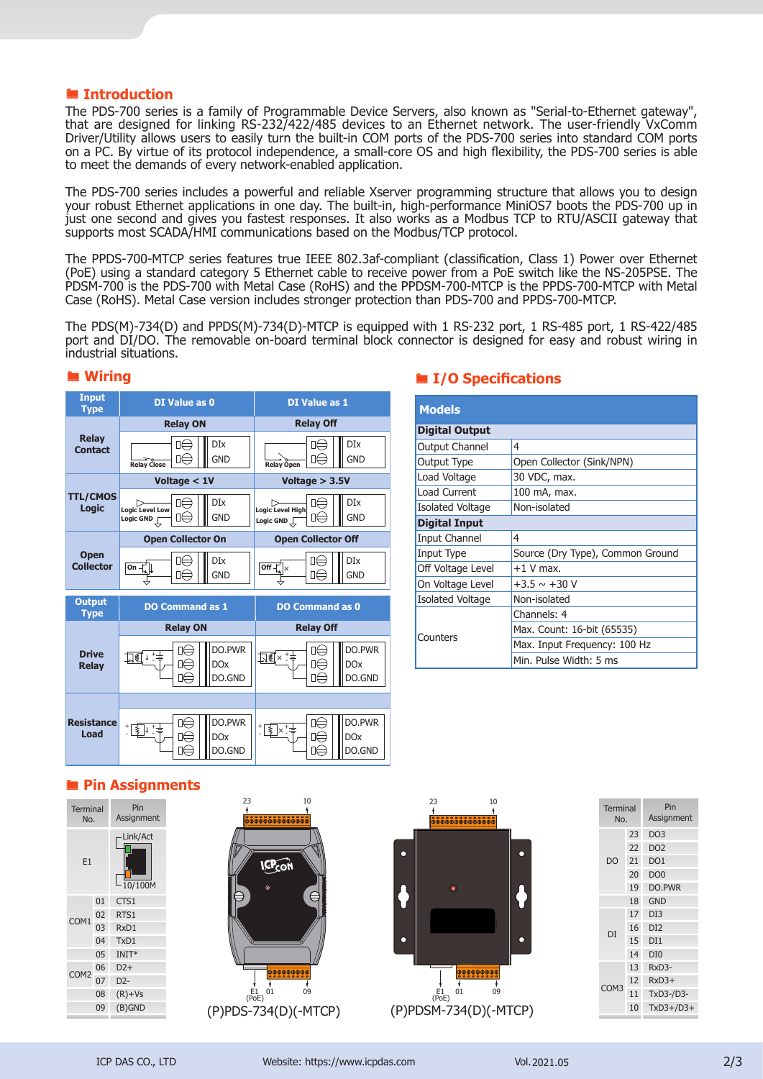#### ® **Introduction**

The PDS-700 series is a family of Programmable Device Servers, also known as "Serial-to-Ethernet gateway", that are designed for linking RS-232/422/485 devices to an Ethernet network. The user-friendly VxComm Driver/Utility allows users to easily turn the built-in COM ports of the PDS-700 series into standard COM ports on a PC. By virtue of its protocol independence, a small-core OS and high flexibility, the PDS-700 series is able to meet the demands of every network-enabled application.

The PDS-700 series includes a powerful and reliable Xserver programming structure that allows you to design your robust Ethernet applications in one day. The built-in, high-performance MiniOS7 boots the PDS-700 up in just one second and gives you fastest responses. It also works as a Modbus TCP to RTU/ASCII gateway that supports most SCADA/HMI communications based on the Modbus/TCP protocol.

The PPDS-700-MTCP series features true IEEE 802.3af-compliant (classification, Class 1) Power over Ethernet (PoE) using a standard category 5 Ethernet cable to receive power from a PoE switch like the NS-205PSE. The PDSM-700 is the PDS-700 with Metal Case (RoHS) and the PPDSM-700-MTCP is the PPDS-700-MTCP with Metal Case (RoHS). Metal Case version includes stronger protection than PDS-700 and PPDS-700-MTCP.

The PDS(M)-734(D) and PPDS(M)-734(D)-MTCP is equipped with 1 RS-232 port, 1 RS-485 port, 1 RS-422/485 port and DI/DO. The removable on-board terminal block connector is designed for easy and robust wiring in industrial situations.

| <b>Input</b><br><b>Type</b>     | DI Value as 0                                   |                                | <b>DI Value as 1</b>                        |                        |                                |
|---------------------------------|-------------------------------------------------|--------------------------------|---------------------------------------------|------------------------|--------------------------------|
|                                 | <b>Relay ON</b>                                 |                                | <b>Relay Off</b>                            |                        |                                |
| <b>Relay</b><br><b>Contact</b>  | ∏⇔<br>π∈<br><b>Relay Close</b>                  | <b>DIx</b><br><b>GND</b>       | <b>Relay Open</b>                           | l⊫<br>D∈               | <b>DIx</b><br><b>GND</b>       |
|                                 | Voltage < 1V                                    |                                | Voltage $> 3.5V$                            |                        |                                |
| <b>TTL/CMOS</b><br>Logic        | □∈<br><b>Logic Level Low</b><br>пE<br>Logic GND | DĪx<br><b>GND</b>              | <b>Logic Level High</b><br>Logic GND $\Box$ | ⊓∈<br>□∈               | <b>DIx</b><br><b>GND</b>       |
|                                 | <b>Open Collector On</b>                        |                                | <b>Open Collector Off</b>                   |                        |                                |
| <b>Open</b><br><b>Collector</b> | П<br>On $\frac{1}{2}$<br>ū∈                     | DĪx<br><b>GND</b>              | Off-                                        | Πŧ<br>□∈               | <b>DIx</b><br><b>GND</b>       |
| <b>Output</b><br><b>Type</b>    | <b>DO Command as 1</b>                          |                                |                                             | <b>DO Command as 0</b> |                                |
|                                 | <b>Relay ON</b>                                 |                                | <b>Relay Off</b>                            |                        |                                |
| <b>Drive</b><br><b>Relay</b>    | ∏€ ⊦ ‡<br>□⇔<br>⊓∈                              | DO.PWR<br><b>DOx</b><br>DO.GND | <u> 기회자 - 국</u>                             | □⊖<br>Ω∈               | DO.PWR<br><b>DOx</b><br>DO.GND |
|                                 |                                                 |                                |                                             |                        |                                |
| <b>Resistance</b><br>Load       | ∣∣∈<br>:13️+:≑<br>Π∈                            | DO.PWR<br><b>DOx</b><br>DO.GND | *图×*≑                                       | □∈<br>∐(≕              | DO.PWR<br><b>DOx</b><br>DO.GND |

### ® **Wiring**

### ® **I/O Specifications**

| <b>Models</b>           |                                  |  |
|-------------------------|----------------------------------|--|
| <b>Digital Output</b>   |                                  |  |
| Output Channel          | 4                                |  |
| Output Type             | Open Collector (Sink/NPN)        |  |
| Load Voltage            | 30 VDC, max.                     |  |
| Load Current            | 100 mA, max.                     |  |
| <b>Isolated Voltage</b> | Non-isolated                     |  |
| <b>Digital Input</b>    |                                  |  |
| Input Channel           | 4                                |  |
| Input Type              | Source (Dry Type), Common Ground |  |
| Off Voltage Level       | $+1$ V max.                      |  |
| On Voltage Level        | $+3.5 \sim +30$ V                |  |
| <b>Isolated Voltage</b> | Non-isolated                     |  |
|                         | Channels: 4                      |  |
| Counters                | Max. Count: 16-bit (65535)       |  |
|                         | Max. Input Frequency: 100 Hz     |  |
|                         | Min. Pulse Width: 5 ms           |  |

### ® **Pin Assignments**

|    | Terminal<br>No.  |    | Pin<br>Assignment   |
|----|------------------|----|---------------------|
| E1 |                  |    | Link/Act<br>10/100M |
|    |                  | 01 | CTS1                |
|    | COM1             | 02 | RTS1                |
|    |                  | 03 | RxD1                |
|    |                  | 04 | TxD1                |
|    | 05               |    | $INT*$              |
|    | COM <sub>2</sub> | 06 | $D2+$               |
|    |                  | 07 | $D2-$               |
|    |                  | 08 | $(R)+Vs$            |
|    |                  | 09 | $(B)$ GND           |
|    |                  |    |                     |





| <b>Terminal</b><br>No. | Pin<br>Assignment |
|------------------------|-------------------|
| 23                     | DO <sub>3</sub>   |
| 22                     | DO <sub>2</sub>   |
| 21                     | DO <sub>1</sub>   |
| 20                     | DO <sub>0</sub>   |
| 19                     | DO.PWR            |
| 18                     | <b>GND</b>        |
| 17                     | DI3               |
| 16                     | DI <sub>2</sub>   |
| 15                     | DI1               |
| 14                     | DI <sub>0</sub>   |
| 13                     | RxD3-             |
| 12                     | $RxD3+$           |
| 11                     | TxD3-/D3-         |
| 10                     | $TxD3+/D3+$       |
|                        |                   |